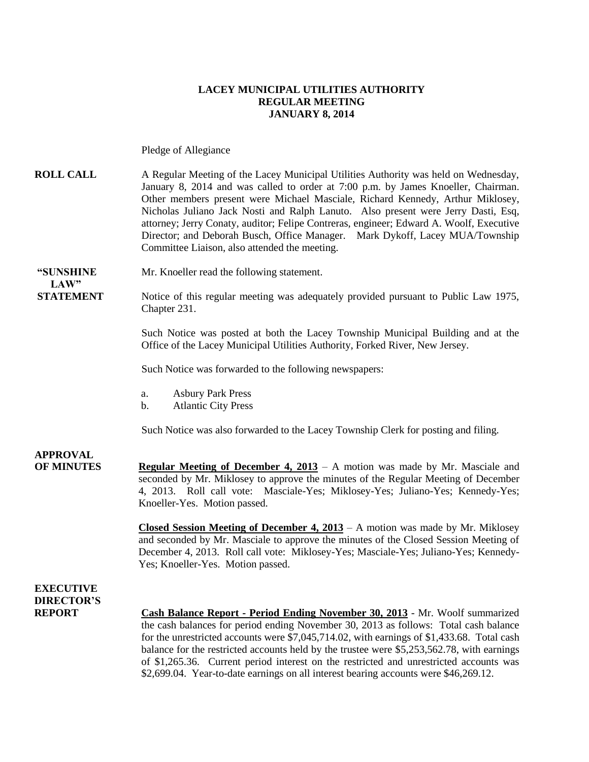## **LACEY MUNICIPAL UTILITIES AUTHORITY REGULAR MEETING JANUARY 8, 2014**

Pledge of Allegiance

**ROLL CALL** A Regular Meeting of the Lacey Municipal Utilities Authority was held on Wednesday, January 8, 2014 and was called to order at 7:00 p.m. by James Knoeller, Chairman. Other members present were Michael Masciale, Richard Kennedy, Arthur Miklosey, Nicholas Juliano Jack Nosti and Ralph Lanuto. Also present were Jerry Dasti, Esq, attorney; Jerry Conaty, auditor; Felipe Contreras, engineer; Edward A. Woolf, Executive Director; and Deborah Busch, Office Manager. Mark Dykoff, Lacey MUA/Township Committee Liaison, also attended the meeting.

**LAW"** 

**"SUNSHINE** Mr. Knoeller read the following statement.

**STATEMENT** Notice of this regular meeting was adequately provided pursuant to Public Law 1975, Chapter 231.

> Such Notice was posted at both the Lacey Township Municipal Building and at the Office of the Lacey Municipal Utilities Authority, Forked River, New Jersey.

Such Notice was forwarded to the following newspapers:

- a. Asbury Park Press
- b. Atlantic City Press

Such Notice was also forwarded to the Lacey Township Clerk for posting and filing.

**APPROVAL OF MINUTES Regular Meeting of December 4, 2013** – A motion was made by Mr. Masciale and seconded by Mr. Miklosey to approve the minutes of the Regular Meeting of December 4, 2013. Roll call vote: Masciale-Yes; Miklosey-Yes; Juliano-Yes; Kennedy-Yes; Knoeller-Yes. Motion passed.

> **Closed Session Meeting of December 4, 2013** – A motion was made by Mr. Miklosey and seconded by Mr. Masciale to approve the minutes of the Closed Session Meeting of December 4, 2013. Roll call vote: Miklosey-Yes; Masciale-Yes; Juliano-Yes; Kennedy-Yes; Knoeller-Yes. Motion passed.

**EXECUTIVE DIRECTOR'S**

**REPORT Cash Balance Report - Period Ending November 30, 2013** - Mr. Woolf summarized the cash balances for period ending November 30, 2013 as follows: Total cash balance for the unrestricted accounts were \$7,045,714.02, with earnings of \$1,433.68. Total cash balance for the restricted accounts held by the trustee were \$5,253,562.78, with earnings of \$1,265.36. Current period interest on the restricted and unrestricted accounts was \$2,699.04. Year-to-date earnings on all interest bearing accounts were \$46,269.12.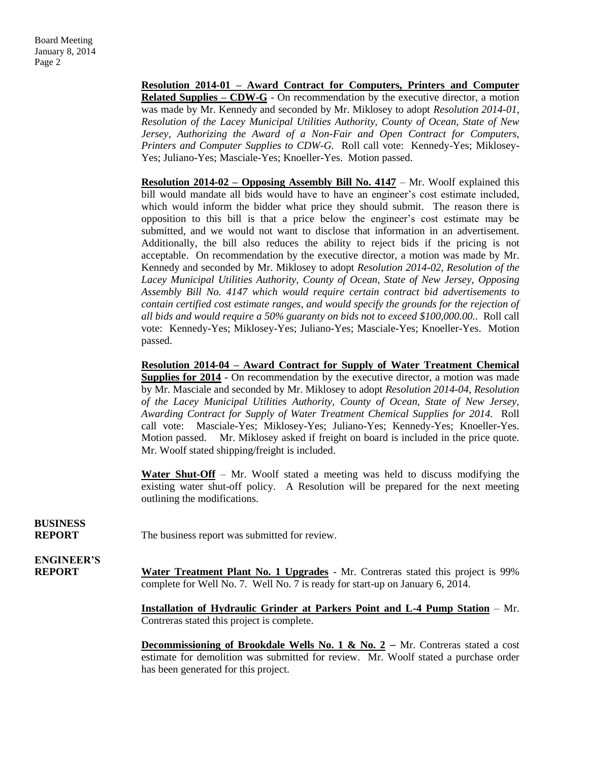**Resolution 2014-01 – Award Contract for Computers, Printers and Computer Related Supplies – CDW-G** - On recommendation by the executive director, a motion was made by Mr. Kennedy and seconded by Mr. Miklosey to adopt *Resolution 2014-01, Resolution of the Lacey Municipal Utilities Authority, County of Ocean, State of New Jersey, Authorizing the Award of a Non-Fair and Open Contract for Computers, Printers and Computer Supplies to CDW-G.* Roll call vote: Kennedy-Yes; Miklosey-Yes; Juliano-Yes; Masciale-Yes; Knoeller-Yes. Motion passed.

**Resolution 2014-02 – Opposing Assembly Bill No. 4147** – Mr. Woolf explained this bill would mandate all bids would have to have an engineer's cost estimate included, which would inform the bidder what price they should submit. The reason there is opposition to this bill is that a price below the engineer's cost estimate may be submitted, and we would not want to disclose that information in an advertisement. Additionally, the bill also reduces the ability to reject bids if the pricing is not acceptable. On recommendation by the executive director, a motion was made by Mr. Kennedy and seconded by Mr. Miklosey to adopt *Resolution 2014-02, Resolution of the Lacey Municipal Utilities Authority, County of Ocean, State of New Jersey, Opposing Assembly Bill No. 4147 which would require certain contract bid advertisements to contain certified cost estimate ranges, and would specify the grounds for the rejection of all bids and would require a 50% guaranty on bids not to exceed \$100,000.00..* Roll call vote: Kennedy-Yes; Miklosey-Yes; Juliano-Yes; Masciale-Yes; Knoeller-Yes. Motion passed.

**Resolution 2014-04 – Award Contract for Supply of Water Treatment Chemical Supplies for 2014** - On recommendation by the executive director, a motion was made by Mr. Masciale and seconded by Mr. Miklosey to adopt *Resolution 2014-04, Resolution of the Lacey Municipal Utilities Authority, County of Ocean, State of New Jersey, Awarding Contract for Supply of Water Treatment Chemical Supplies for 2014.* Roll call vote: Masciale-Yes; Miklosey-Yes; Juliano-Yes; Kennedy-Yes; Knoeller-Yes. Motion passed. Mr. Miklosey asked if freight on board is included in the price quote. Mr. Woolf stated shipping/freight is included.

**Water Shut-Off** – Mr. Woolf stated a meeting was held to discuss modifying the existing water shut-off policy. A Resolution will be prepared for the next meeting outlining the modifications.

**BUSINESS**

**REPORT** The business report was submitted for review.

**ENGINEER'S**

**REPORT Water Treatment Plant No. 1 Upgrades** - Mr. Contreras stated this project is 99% complete for Well No. 7. Well No. 7 is ready for start-up on January 6, 2014.

> **Installation of Hydraulic Grinder at Parkers Point and L-4 Pump Station** – Mr. Contreras stated this project is complete.

> **Decommissioning of Brookdale Wells No. 1 & No. 2** – Mr. Contreras stated a cost estimate for demolition was submitted for review. Mr. Woolf stated a purchase order has been generated for this project.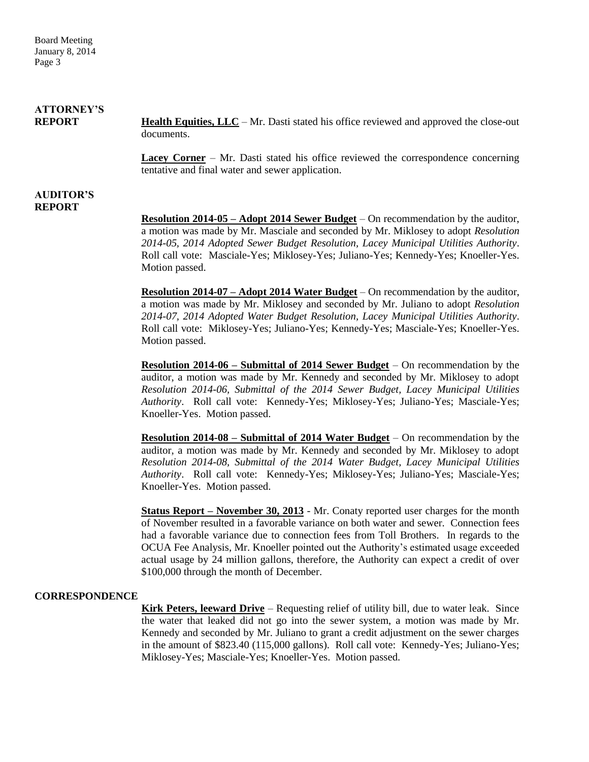Board Meeting January 8, 2014 Page 3

| <b>ATTORNEY'S</b> |                                                                                               |
|-------------------|-----------------------------------------------------------------------------------------------|
| <b>REPORT</b>     | <b>Health Equities, LLC</b> – Mr. Dasti stated his office reviewed and approved the close-out |
|                   | documents.                                                                                    |

**Lacey Corner** – Mr. Dasti stated his office reviewed the correspondence concerning tentative and final water and sewer application.

#### **AUDITOR'S REPORT**

**Resolution 2014-05 – Adopt 2014 Sewer Budget** – On recommendation by the auditor, a motion was made by Mr. Masciale and seconded by Mr. Miklosey to adopt *Resolution 2014-05, 2014 Adopted Sewer Budget Resolution, Lacey Municipal Utilities Authority*. Roll call vote: Masciale-Yes; Miklosey-Yes; Juliano-Yes; Kennedy-Yes; Knoeller-Yes. Motion passed.

**Resolution 2014-07 – Adopt 2014 Water Budget** – On recommendation by the auditor, a motion was made by Mr. Miklosey and seconded by Mr. Juliano to adopt *Resolution 2014-07, 2014 Adopted Water Budget Resolution, Lacey Municipal Utilities Authority*. Roll call vote: Miklosey-Yes; Juliano-Yes; Kennedy-Yes; Masciale-Yes; Knoeller-Yes. Motion passed.

**Resolution 2014-06 – Submittal of 2014 Sewer Budget** – On recommendation by the auditor, a motion was made by Mr. Kennedy and seconded by Mr. Miklosey to adopt *Resolution 2014-06, Submittal of the 2014 Sewer Budget, Lacey Municipal Utilities Authority*. Roll call vote: Kennedy-Yes; Miklosey-Yes; Juliano-Yes; Masciale-Yes; Knoeller-Yes. Motion passed.

**Resolution 2014-08 – Submittal of 2014 Water Budget** – On recommendation by the auditor, a motion was made by Mr. Kennedy and seconded by Mr. Miklosey to adopt *Resolution 2014-08, Submittal of the 2014 Water Budget, Lacey Municipal Utilities Authority*. Roll call vote: Kennedy-Yes; Miklosey-Yes; Juliano-Yes; Masciale-Yes; Knoeller-Yes. Motion passed.

**Status Report – November 30, 2013** - Mr. Conaty reported user charges for the month of November resulted in a favorable variance on both water and sewer. Connection fees had a favorable variance due to connection fees from Toll Brothers. In regards to the OCUA Fee Analysis, Mr. Knoeller pointed out the Authority's estimated usage exceeded actual usage by 24 million gallons, therefore, the Authority can expect a credit of over \$100,000 through the month of December.

### **CORRESPONDENCE**

**Kirk Peters, leeward Drive** – Requesting relief of utility bill, due to water leak. Since the water that leaked did not go into the sewer system, a motion was made by Mr. Kennedy and seconded by Mr. Juliano to grant a credit adjustment on the sewer charges in the amount of \$823.40 (115,000 gallons). Roll call vote: Kennedy-Yes; Juliano-Yes; Miklosey-Yes; Masciale-Yes; Knoeller-Yes. Motion passed.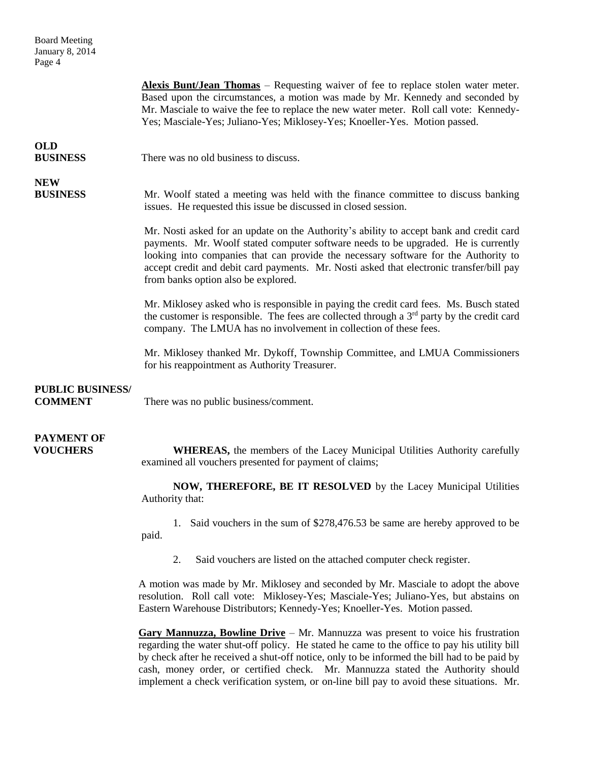| <b>Board Meeting</b><br>January 8, 2014<br>Page 4 |                                                                                                                                                                                                                                                                                                                                                                                                         |
|---------------------------------------------------|---------------------------------------------------------------------------------------------------------------------------------------------------------------------------------------------------------------------------------------------------------------------------------------------------------------------------------------------------------------------------------------------------------|
|                                                   | <b>Alexis Bunt/Jean Thomas</b> – Requesting waiver of fee to replace stolen water meter.<br>Based upon the circumstances, a motion was made by Mr. Kennedy and seconded by<br>Mr. Masciale to waive the fee to replace the new water meter. Roll call vote: Kennedy-<br>Yes; Masciale-Yes; Juliano-Yes; Miklosey-Yes; Knoeller-Yes. Motion passed.                                                      |
| <b>OLD</b><br><b>BUSINESS</b>                     | There was no old business to discuss.                                                                                                                                                                                                                                                                                                                                                                   |
| <b>NEW</b><br><b>BUSINESS</b>                     | Mr. Woolf stated a meeting was held with the finance committee to discuss banking<br>issues. He requested this issue be discussed in closed session.                                                                                                                                                                                                                                                    |
|                                                   | Mr. Nosti asked for an update on the Authority's ability to accept bank and credit card<br>payments. Mr. Woolf stated computer software needs to be upgraded. He is currently<br>looking into companies that can provide the necessary software for the Authority to<br>accept credit and debit card payments. Mr. Nosti asked that electronic transfer/bill pay<br>from banks option also be explored. |
|                                                   | Mr. Miklosey asked who is responsible in paying the credit card fees. Ms. Busch stated<br>the customer is responsible. The fees are collected through a $3rd$ party by the credit card<br>company. The LMUA has no involvement in collection of these fees.                                                                                                                                             |
|                                                   | Mr. Miklosey thanked Mr. Dykoff, Township Committee, and LMUA Commissioners<br>for his reappointment as Authority Treasurer.                                                                                                                                                                                                                                                                            |
| <b>PUBLIC BUSINESS/</b><br><b>COMMENT</b>         | There was no public business/comment.                                                                                                                                                                                                                                                                                                                                                                   |
| <b>PAYMENT OF</b><br><b>VOUCHERS</b>              | <b>WHEREAS</b> , the members of the Lacey Municipal Utilities Authority carefully<br>examined all vouchers presented for payment of claims;                                                                                                                                                                                                                                                             |
|                                                   | NOW, THEREFORE, BE IT RESOLVED by the Lacey Municipal Utilities<br>Authority that:                                                                                                                                                                                                                                                                                                                      |
|                                                   | 1. Said vouchers in the sum of \$278,476.53 be same are hereby approved to be<br>paid.                                                                                                                                                                                                                                                                                                                  |
|                                                   | Said vouchers are listed on the attached computer check register.<br>2.                                                                                                                                                                                                                                                                                                                                 |
|                                                   | A motion was made by Mr. Miklosey and seconded by Mr. Masciale to adopt the above<br>resolution. Roll call vote: Miklosey-Yes; Masciale-Yes; Juliano-Yes, but abstains on<br>Eastern Warehouse Distributors; Kennedy-Yes; Knoeller-Yes. Motion passed.                                                                                                                                                  |
|                                                   | <b>Gary Mannuzza, Bowline Drive</b> $-Mr$ . Mannuzza was present to voice his frustration<br>regarding the water shut off policy. He stated be came to the office to pay his utility hill                                                                                                                                                                                                               |

regarding the water shut-off policy. He stated he came to the office to pay his utility bill by check after he received a shut-off notice, only to be informed the bill had to be paid by cash, money order, or certified check. Mr. Mannuzza stated the Authority should implement a check verification system, or on-line bill pay to avoid these situations. Mr.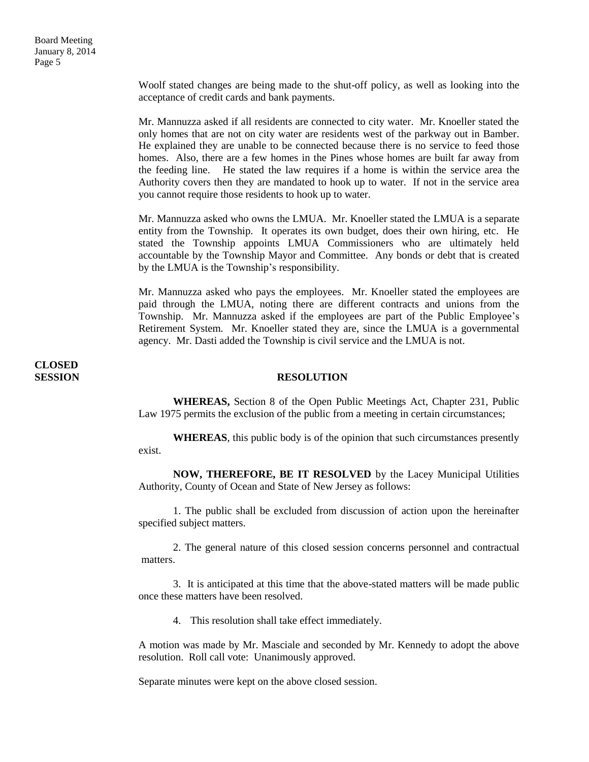Woolf stated changes are being made to the shut-off policy, as well as looking into the acceptance of credit cards and bank payments.

Mr. Mannuzza asked if all residents are connected to city water. Mr. Knoeller stated the only homes that are not on city water are residents west of the parkway out in Bamber. He explained they are unable to be connected because there is no service to feed those homes. Also, there are a few homes in the Pines whose homes are built far away from the feeding line. He stated the law requires if a home is within the service area the Authority covers then they are mandated to hook up to water. If not in the service area you cannot require those residents to hook up to water.

Mr. Mannuzza asked who owns the LMUA. Mr. Knoeller stated the LMUA is a separate entity from the Township. It operates its own budget, does their own hiring, etc. He stated the Township appoints LMUA Commissioners who are ultimately held accountable by the Township Mayor and Committee. Any bonds or debt that is created by the LMUA is the Township's responsibility.

Mr. Mannuzza asked who pays the employees. Mr. Knoeller stated the employees are paid through the LMUA, noting there are different contracts and unions from the Township. Mr. Mannuzza asked if the employees are part of the Public Employee's Retirement System. Mr. Knoeller stated they are, since the LMUA is a governmental agency. Mr. Dasti added the Township is civil service and the LMUA is not.

# **CLOSED**

#### **SESSION RESOLUTION**

**WHEREAS,** Section 8 of the Open Public Meetings Act, Chapter 231, Public Law 1975 permits the exclusion of the public from a meeting in certain circumstances;

**WHEREAS**, this public body is of the opinion that such circumstances presently exist.

**NOW, THEREFORE, BE IT RESOLVED** by the Lacey Municipal Utilities Authority, County of Ocean and State of New Jersey as follows:

1. The public shall be excluded from discussion of action upon the hereinafter specified subject matters.

2. The general nature of this closed session concerns personnel and contractual matters.

3. It is anticipated at this time that the above-stated matters will be made public once these matters have been resolved.

4. This resolution shall take effect immediately.

A motion was made by Mr. Masciale and seconded by Mr. Kennedy to adopt the above resolution. Roll call vote: Unanimously approved.

Separate minutes were kept on the above closed session.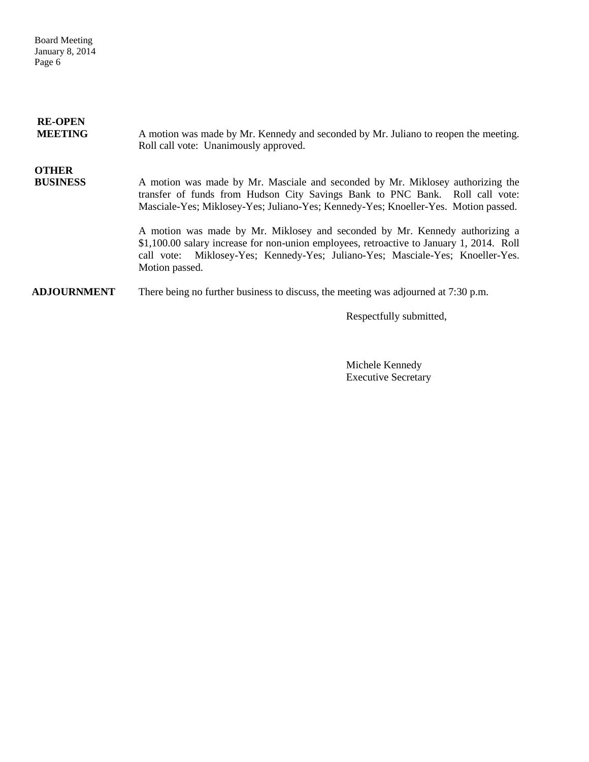Board Meeting January 8, 2014 Page 6

| <b>RE-OPEN</b><br><b>MEETING</b> | A motion was made by Mr. Kennedy and seconded by Mr. Juliano to reopen the meeting.<br>Roll call vote: Unanimously approved.                                                                                                                                                |
|----------------------------------|-----------------------------------------------------------------------------------------------------------------------------------------------------------------------------------------------------------------------------------------------------------------------------|
| <b>OTHER</b><br><b>BUSINESS</b>  | A motion was made by Mr. Masciale and seconded by Mr. Miklosey authorizing the<br>transfer of funds from Hudson City Savings Bank to PNC Bank. Roll call vote:<br>Masciale-Yes; Miklosey-Yes; Juliano-Yes; Kennedy-Yes; Knoeller-Yes. Motion passed.                        |
|                                  | A motion was made by Mr. Miklosey and seconded by Mr. Kennedy authorizing a<br>\$1,100.00 salary increase for non-union employees, retroactive to January 1, 2014. Roll<br>call vote: Miklosey-Yes; Kennedy-Yes; Juliano-Yes; Masciale-Yes; Knoeller-Yes.<br>Motion passed. |
| <b>ADJOURNMENT</b>               | There being no further business to discuss, the meeting was adjourned at 7:30 p.m.                                                                                                                                                                                          |

Respectfully submitted,

Michele Kennedy Executive Secretary